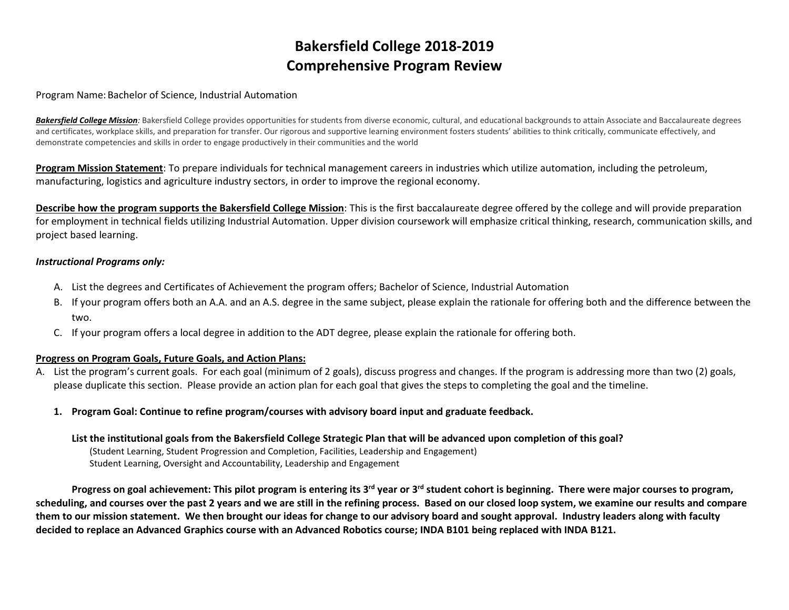# **Bakersfield College 2018-2019 Comprehensive Program Review**

#### Program Name:Bachelor of Science, Industrial Automation

**Bakersfield College Mission**: Bakersfield College provides opportunities for students from diverse economic, cultural, and educational backgrounds to attain Associate and Baccalaureate degrees and certificates, workplace skills, and preparation for transfer. Our rigorous and supportive learning environment fosters students' abilities to think critically, communicate effectively, and demonstrate competencies and skills in order to engage productively in their communities and the world

**Program Mission Statement**: To prepare individuals for technical management careers in industries which utilize automation, including the petroleum, manufacturing, logistics and agriculture industry sectors, in order to improve the regional economy.

**Describe how the program supports the Bakersfield College Mission**: This is the first baccalaureate degree offered by the college and will provide preparation for employment in technical fields utilizing Industrial Automation. Upper division coursework will emphasize critical thinking, research, communication skills, and project based learning.

#### *Instructional Programs only:*

- A. List the degrees and Certificates of Achievement the program offers; Bachelor of Science, Industrial Automation
- B. If your program offers both an A.A. and an A.S. degree in the same subject, please explain the rationale for offering both and the difference between the two.
- C. If your program offers a local degree in addition to the ADT degree, please explain the rationale for offering both.

# **Progress on Program Goals, Future Goals, and Action Plans:**

- A. List the program's current goals. For each goal (minimum of 2 goals), discuss progress and changes. If the program is addressing more than two (2) goals, please duplicate this section. Please provide an action plan for each goal that gives the steps to completing the goal and the timeline.
	- **1. Program Goal: Continue to refine program/courses with advisory board input and graduate feedback.**

# **List the institutional goals from the Bakersfield College Strategic Plan that will be advanced upon completion of this goal?**

(Student Learning, Student Progression and Completion, Facilities, Leadership and Engagement) Student Learning, Oversight and Accountability, Leadership and Engagement

**Progress on goal achievement: This pilot program is entering its 3rd year or 3rd student cohort is beginning. There were major courses to program, scheduling, and courses over the past 2 years and we are still in the refining process. Based on our closed loop system, we examine our results and compare them to our mission statement. We then brought our ideas for change to our advisory board and sought approval. Industry leaders along with faculty decided to replace an Advanced Graphics course with an Advanced Robotics course; INDA B101 being replaced with INDA B121.**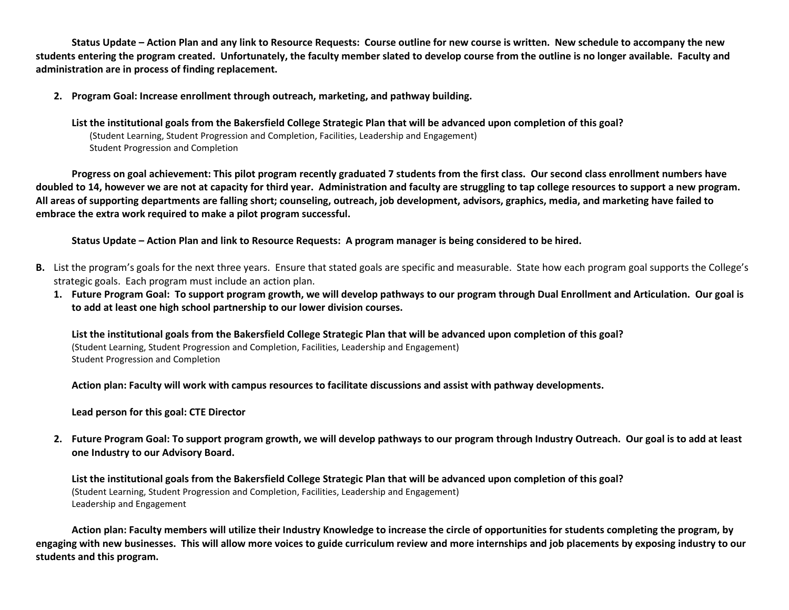**Status Update – Action Plan and any link to Resource Requests: Course outline for new course is written. New schedule to accompany the new students entering the program created. Unfortunately, the faculty member slated to develop course from the outline is no longer available. Faculty and administration are in process of finding replacement.**

**2. Program Goal: Increase enrollment through outreach, marketing, and pathway building.** 

**List the institutional goals from the Bakersfield College Strategic Plan that will be advanced upon completion of this goal?**  (Student Learning, Student Progression and Completion, Facilities, Leadership and Engagement) Student Progression and Completion

**Progress on goal achievement: This pilot program recently graduated 7 students from the first class. Our second class enrollment numbers have doubled to 14, however we are not at capacity for third year. Administration and faculty are struggling to tap college resources to support a new program. All areas of supporting departments are falling short; counseling, outreach, job development, advisors, graphics, media, and marketing have failed to embrace the extra work required to make a pilot program successful.**

**Status Update – Action Plan and link to Resource Requests: A program manager is being considered to be hired.**

- **B.** List the program's goals for the next three years. Ensure that stated goals are specific and measurable. State how each program goal supports the College's strategic goals. Each program must include an action plan.
	- **1. Future Program Goal: To support program growth, we will develop pathways to our program through Dual Enrollment and Articulation. Our goal is to add at least one high school partnership to our lower division courses.**

**List the institutional goals from the Bakersfield College Strategic Plan that will be advanced upon completion of this goal?**  (Student Learning, Student Progression and Completion, Facilities, Leadership and Engagement) Student Progression and Completion

**Action plan: Faculty will work with campus resources to facilitate discussions and assist with pathway developments.**

**Lead person for this goal: CTE Director**

**2. Future Program Goal: To support program growth, we will develop pathways to our program through Industry Outreach. Our goal is to add at least one Industry to our Advisory Board.**

**List the institutional goals from the Bakersfield College Strategic Plan that will be advanced upon completion of this goal?**  (Student Learning, Student Progression and Completion, Facilities, Leadership and Engagement) Leadership and Engagement

**Action plan: Faculty members will utilize their Industry Knowledge to increase the circle of opportunities for students completing the program, by engaging with new businesses. This will allow more voices to guide curriculum review and more internships and job placements by exposing industry to our students and this program.**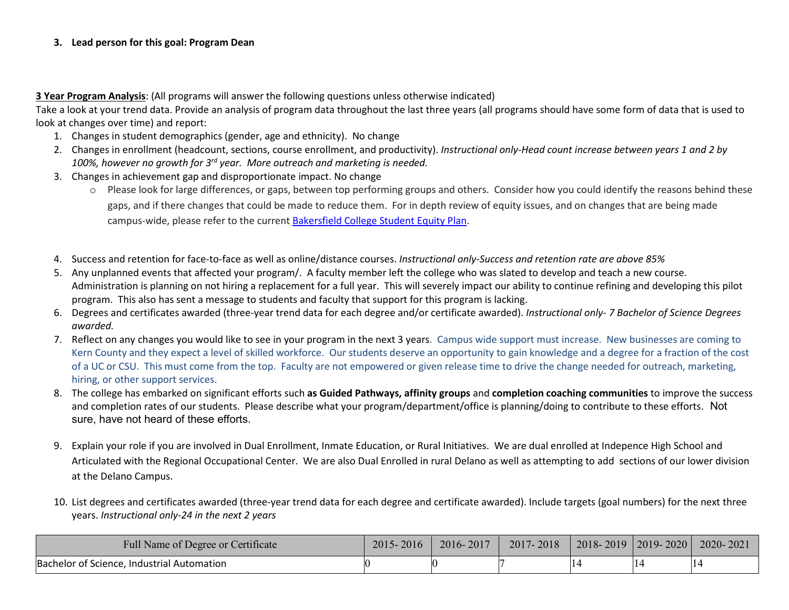# **3. Lead person for this goal: Program Dean**

# **3 Year Program Analysis**: (All programs will answer the following questions unless otherwise indicated)

Take a look at your trend data. Provide an analysis of program data throughout the last three years (all programs should have some form of data that is used to look at changes over time) and report:

- 1. Changes in student demographics (gender, age and ethnicity). No change
- 2. Changes in enrollment (headcount, sections, course enrollment, and productivity). *Instructional only-Head count increase between years 1 and 2 by 100%, however no growth for 3rd year. More outreach and marketing is needed.*
- 3. Changes in achievement gap and disproportionate impact. No change
	- o Please look for large differences, or gaps, between top performing groups and others. Consider how you could identify the reasons behind these gaps, and if there changes that could be made to reduce them. For in depth review of equity issues, and on changes that are being made campus-wide, please refer to the current [Bakersfield College Student Equity Plan.](https://www.bakersfieldcollege.edu/sites/bakersfieldcollege.edu/files/2015-18_StudentEquityPlan.pdf)
- 4. Success and retention for face-to-face as well as online/distance courses. *Instructional only-Success and retention rate are above 85%*
- 5. Any unplanned events that affected your program/. A faculty member left the college who was slated to develop and teach a new course. Administration is planning on not hiring a replacement for a full year. This will severely impact our ability to continue refining and developing this pilot program. This also has sent a message to students and faculty that support for this program is lacking.
- 6. Degrees and certificates awarded (three-year trend data for each degree and/or certificate awarded). *Instructional only- 7 Bachelor of Science Degrees awarded.*
- 7. Reflect on any changes you would like to see in your program in the next 3 years. Campus wide support must increase. New businesses are coming to Kern County and they expect a level of skilled workforce. Our students deserve an opportunity to gain knowledge and a degree for a fraction of the cost of a UC or CSU. This must come from the top. Faculty are not empowered or given release time to drive the change needed for outreach, marketing, hiring, or other support services.
- 8. The college has embarked on significant efforts such **as Guided Pathways, affinity groups** and **completion coaching communities** to improve the success and completion rates of our students. Please describe what your program/department/office is planning/doing to contribute to these efforts. Not sure, have not heard of these efforts.
- 9. Explain your role if you are involved in Dual Enrollment, Inmate Education, or Rural Initiatives. We are dual enrolled at Indepence High School and Articulated with the Regional Occupational Center. We are also Dual Enrolled in rural Delano as well as attempting to add sections of our lower division at the Delano Campus.
- 10. List degrees and certificates awarded (three-year trend data for each degree and certificate awarded). Include targets (goal numbers) for the next three years. *Instructional only-24 in the next 2 years*

| Full Name of Degree or Certificate         | 2015-2016 | 2016-2017 | 2017-2018 | $2018 - 2019$   2019 - 2020 | $2020 - 2021$ |
|--------------------------------------------|-----------|-----------|-----------|-----------------------------|---------------|
| Bachelor of Science, Industrial Automation |           |           |           |                             |               |